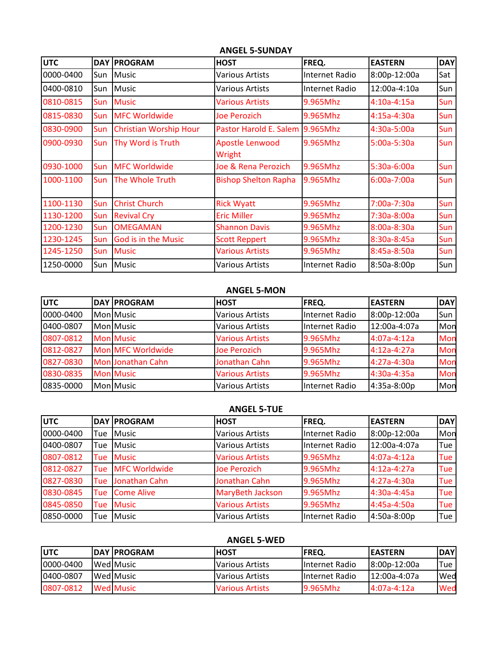| <b>UTC</b> | DAY        | <b>PROGRAM</b>                | <b>HOST</b>                      | FREQ.          | <b>EASTERN</b> | <b>DAY</b>       |
|------------|------------|-------------------------------|----------------------------------|----------------|----------------|------------------|
| 0000-0400  | Sun        | <b>Music</b>                  | <b>Various Artists</b>           | Internet Radio | 8:00p-12:00a   | Sat              |
| 0400-0810  | Sun        | Music                         | <b>Various Artists</b>           | Internet Radio | 12:00a-4:10a   | Sun              |
| 0810-0815  | <b>Sun</b> | <b>Music</b>                  | <b>Various Artists</b>           | 9.965Mhz       | $4:10a-4:15a$  | Sun              |
| 0815-0830  | Sun        | <b>MFC Worldwide</b>          | <b>Joe Perozich</b>              | 9.965Mhz       | 4:15a-4:30a    | Sun              |
| 0830-0900  | Sun        | <b>Christian Worship Hour</b> | Pastor Harold E. Salem 9.965Mhz  |                | $4:30a-5:00a$  | Sun              |
| 0900-0930  | Sun        | Thy Word is Truth             | <b>Apostle Lenwood</b><br>Wright | 9.965Mhz       | 5:00a-5:30a    | Sun              |
| 0930-1000  | Sun        | <b>MFC Worldwide</b>          | Joe & Rena Perozich              | 9.965Mhz       | 5:30a-6:00a    | Sun              |
| 1000-1100  | Sun        | The Whole Truth               | <b>Bishop Shelton Rapha</b>      | 9.965Mhz       | 6:00a-7:00a    | Sun <sup>1</sup> |
| 1100-1130  | Sun        | <b>Christ Church</b>          | <b>Rick Wyatt</b>                | 9.965Mhz       | 7:00a-7:30a    | Sun              |
| 1130-1200  | Sun        | <b>Revival Cry</b>            | <b>Eric Miller</b>               | 9.965Mhz       | 7:30a-8:00a    | Sun              |
| 1200-1230  | Sun        | <b>OMEGAMAN</b>               | <b>Shannon Davis</b>             | 9.965Mhz       | 8:00a-8:30a    | Sun              |
| 1230-1245  | Sun        | God is in the Music           | <b>Scott Reppert</b>             | 9.965Mhz       | 8:30a-8:45a    | Sun              |
| 1245-1250  | Sun        | <b>Music</b>                  | <b>Various Artists</b>           | 9.965Mhz       | 8:45a-8:50a    | Sun              |
| 1250-0000  | Sun        | Music                         | Various Artists                  | Internet Radio | 8:50a-8:00p    | Sun              |

## **ANGEL 5-SUNDAY**

## **ANGEL 5-MON**

| <b>UTC</b> | <b>DAY PROGRAM</b> | <b>HOST</b>            | FREQ.          | <b>EASTERN</b> | <b>DAY</b> |
|------------|--------------------|------------------------|----------------|----------------|------------|
| 0000-0400  | Mon Music          | <b>Various Artists</b> | Internet Radio | 8:00p-12:00a   | Sun        |
| 0400-0807  | <b>Mon Music</b>   | <b>Various Artists</b> | Internet Radio | 12:00a-4:07a   | Mon        |
| 0807-0812  | <b>Mon Music</b>   | <b>Various Artists</b> | 9.965Mhz       | $4:07a-4:12a$  | Mon        |
| 0812-0827  | Mon MFC Worldwide  | <b>Joe Perozich</b>    | 9.965Mhz       | $4:12a-4:27a$  | Mon        |
| 0827-0830  | Mon Jonathan Cahn  | Jonathan Cahn          | 9.965Mhz       | $4:27a-4:30a$  | Mon        |
| 0830-0835  | <b>Mon Music</b>   | <b>Various Artists</b> | 9.965Mhz       | 4:30a-4:35a    | Mon        |
| 0835-0000  | Mon Music          | <b>Various Artists</b> | Internet Radio | 4:35a-8:00p    | Mon        |

## **ANGEL 5-TUE**

| <b>UTC</b> |     | <b>DAY PROGRAM</b>   | <b>HOST</b>            | FREQ.          | <b>EASTERN</b> | DAY        |
|------------|-----|----------------------|------------------------|----------------|----------------|------------|
| 0000-0400  | Tue | <b>Music</b>         | <b>Various Artists</b> | Internet Radio | 8:00p-12:00a   | Mon        |
| 0400-0807  | Tue | <b>Music</b>         | <b>Various Artists</b> | Internet Radio | 12:00a-4:07a   | Tue        |
| 0807-0812  | Tue | <b>Music</b>         | <b>Various Artists</b> | 9.965Mhz       | $4:07a-4:12a$  | <b>Tue</b> |
| 0812-0827  | Tue | <b>MFC Worldwide</b> | Joe Perozich           | 9.965Mhz       | $4:12a-4:27a$  | <b>Tue</b> |
| 0827-0830  | Tue | Jonathan Cahn        | Jonathan Cahn          | 9.965Mhz       | $4:27a-4:30a$  | Tue        |
| 0830-0845  | Tue | <b>Come Alive</b>    | MaryBeth Jackson       | 9.965Mhz       | 4:30a-4:45a    | Tue        |
| 0845-0850  | Tue | <b>Music</b>         | <b>Various Artists</b> | 9.965Mhz       | 4:45a-4:50a    | Tue        |
| 0850-0000  | Tue | Music                | <b>Various Artists</b> | Internet Radio | 4:50a-8:00p    | Tue        |

## **ANGEL 5-WED**

| lUTC       | <b>IDAY IPROGRAM</b> | <b>IHOST</b>           | <b>IFREQ.</b>   | <b>IEASTERN</b> | <b>DAY</b> |
|------------|----------------------|------------------------|-----------------|-----------------|------------|
| 0000-0400  | <b>Wed Music</b>     | <b>Various Artists</b> | IInternet Radio | 8:00p-12:00a    | Tue        |
| 10400-0807 | <b>Wed Music</b>     | lVarious Artists       | IInternet Radio | 12:00a-4:07a    | lWed       |
| 0807-0812  | <b>Wed Music</b>     | Various Artists        | 9.965Mhz        | $4:07a-4:12a$   | Wed        |